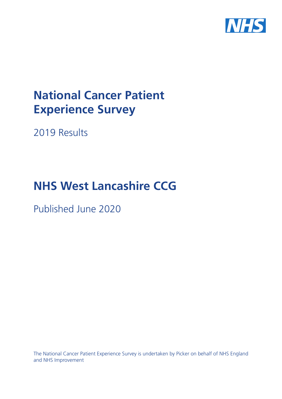

# **National Cancer Patient Experience Survey**

2019 Results

# **NHS West Lancashire CCG**

Published June 2020

The National Cancer Patient Experience Survey is undertaken by Picker on behalf of NHS England and NHS Improvement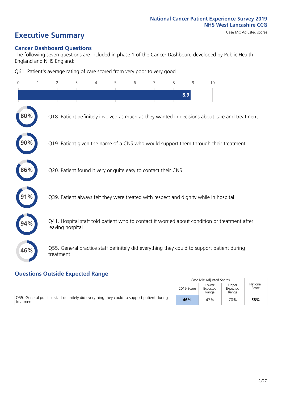# **Executive Summary** Case Mix Adjusted scores

#### **Cancer Dashboard Questions**

The following seven questions are included in phase 1 of the Cancer Dashboard developed by Public Health England and NHS England:

Q61. Patient's average rating of care scored from very poor to very good

| 0   | $\overline{2}$   | 3                                                             | $\overline{4}$ | 5 | 6 | $\overline{7}$ | 8 | $\mathsf{Q}$ | 10                                                                                            |
|-----|------------------|---------------------------------------------------------------|----------------|---|---|----------------|---|--------------|-----------------------------------------------------------------------------------------------|
|     |                  |                                                               |                |   |   |                |   | 8.9          |                                                                                               |
|     |                  |                                                               |                |   |   |                |   |              | Q18. Patient definitely involved as much as they wanted in decisions about care and treatment |
|     |                  |                                                               |                |   |   |                |   |              | Q19. Patient given the name of a CNS who would support them through their treatment           |
| 86% |                  | Q20. Patient found it very or quite easy to contact their CNS |                |   |   |                |   |              |                                                                                               |
|     |                  |                                                               |                |   |   |                |   |              | Q39. Patient always felt they were treated with respect and dignity while in hospital         |
|     | leaving hospital |                                                               |                |   |   |                |   |              | Q41. Hospital staff told patient who to contact if worried about condition or treatment after |
| 46% | treatment        |                                                               |                |   |   |                |   |              | Q55. General practice staff definitely did everything they could to support patient during    |
|     |                  |                                                               |                |   |   |                |   |              |                                                                                               |

#### **Questions Outside Expected Range**

|                                                                                                         |            | Case Mix Adjusted Scores   |                            |                   |
|---------------------------------------------------------------------------------------------------------|------------|----------------------------|----------------------------|-------------------|
|                                                                                                         | 2019 Score | Lower<br>Expected<br>Range | Upper<br>Expected<br>Range | National<br>Score |
| Q55. General practice staff definitely did everything they could to support patient during<br>treatment | 46%        | 47%                        | 70%                        | 58%               |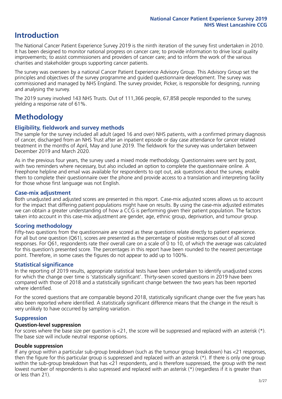## **Introduction**

The National Cancer Patient Experience Survey 2019 is the ninth iteration of the survey first undertaken in 2010. It has been designed to monitor national progress on cancer care; to provide information to drive local quality improvements; to assist commissioners and providers of cancer care; and to inform the work of the various charities and stakeholder groups supporting cancer patients.

The survey was overseen by a national Cancer Patient Experience Advisory Group. This Advisory Group set the principles and objectives of the survey programme and guided questionnaire development. The survey was commissioned and managed by NHS England. The survey provider, Picker, is responsible for designing, running and analysing the survey.

The 2019 survey involved 143 NHS Trusts. Out of 111,366 people, 67,858 people responded to the survey, yielding a response rate of 61%.

# **Methodology**

#### **Eligibility, eldwork and survey methods**

The sample for the survey included all adult (aged 16 and over) NHS patients, with a confirmed primary diagnosis of cancer, discharged from an NHS Trust after an inpatient episode or day case attendance for cancer related treatment in the months of April, May and June 2019. The fieldwork for the survey was undertaken between December 2019 and March 2020.

As in the previous four years, the survey used a mixed mode methodology. Questionnaires were sent by post, with two reminders where necessary, but also included an option to complete the questionnaire online. A Freephone helpline and email was available for respondents to opt out, ask questions about the survey, enable them to complete their questionnaire over the phone and provide access to a translation and interpreting facility for those whose first language was not English.

#### **Case-mix adjustment**

Both unadjusted and adjusted scores are presented in this report. Case-mix adjusted scores allows us to account for the impact that differing patient populations might have on results. By using the case-mix adjusted estimates we can obtain a greater understanding of how a CCG is performing given their patient population. The factors taken into account in this case-mix adjustment are gender, age, ethnic group, deprivation, and tumour group.

#### **Scoring methodology**

Fifty-two questions from the questionnaire are scored as these questions relate directly to patient experience. For all but one question (Q61), scores are presented as the percentage of positive responses out of all scored responses. For Q61, respondents rate their overall care on a scale of 0 to 10, of which the average was calculated for this question's presented score. The percentages in this report have been rounded to the nearest percentage point. Therefore, in some cases the figures do not appear to add up to 100%.

#### **Statistical significance**

In the reporting of 2019 results, appropriate statistical tests have been undertaken to identify unadjusted scores for which the change over time is 'statistically significant'. Thirty-seven scored questions in 2019 have been compared with those of 2018 and a statistically significant change between the two years has been reported where identified.

For the scored questions that are comparable beyond 2018, statistically significant change over the five years has also been reported where identified. A statistically significant difference means that the change in the result is very unlikely to have occurred by sampling variation.

#### **Suppression**

#### **Question-level suppression**

For scores where the base size per question is  $<$ 21, the score will be suppressed and replaced with an asterisk (\*). The base size will include neutral response options.

#### **Double suppression**

If any group within a particular sub-group breakdown (such as the tumour group breakdown) has <21 responses, then the figure for this particular group is suppressed and replaced with an asterisk (\*). If there is only one group within the sub-group breakdown that has <21 respondents, and is therefore suppressed, the group with the next lowest number of respondents is also supressed and replaced with an asterisk (\*) (regardless if it is greater than or less than 21).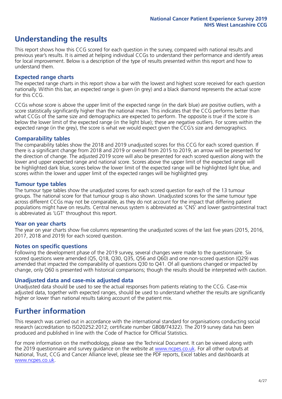## **Understanding the results**

This report shows how this CCG scored for each question in the survey, compared with national results and previous year's results. It is aimed at helping individual CCGs to understand their performance and identify areas for local improvement. Below is a description of the type of results presented within this report and how to understand them.

#### **Expected range charts**

The expected range charts in this report show a bar with the lowest and highest score received for each question nationally. Within this bar, an expected range is given (in grey) and a black diamond represents the actual score for this CCG.

CCGs whose score is above the upper limit of the expected range (in the dark blue) are positive outliers, with a score statistically significantly higher than the national mean. This indicates that the CCG performs better than what CCGs of the same size and demographics are expected to perform. The opposite is true if the score is below the lower limit of the expected range (in the light blue); these are negative outliers. For scores within the expected range (in the grey), the score is what we would expect given the CCG's size and demographics.

#### **Comparability tables**

The comparability tables show the 2018 and 2019 unadjusted scores for this CCG for each scored question. If there is a significant change from 2018 and 2019 or overall from 2015 to 2019, an arrow will be presented for the direction of change. The adjusted 2019 score will also be presented for each scored question along with the lower and upper expected range and national score. Scores above the upper limit of the expected range will be highlighted dark blue, scores below the lower limit of the expected range will be highlighted light blue, and scores within the lower and upper limit of the expected ranges will be highlighted grey.

#### **Tumour type tables**

The tumour type tables show the unadjusted scores for each scored question for each of the 13 tumour groups. The national score for that tumour group is also shown. Unadjusted scores for the same tumour type across different CCGs may not be comparable, as they do not account for the impact that differing patient populations might have on results. Central nervous system is abbreviated as 'CNS' and lower gastrointestinal tract is abbreviated as 'LGT' throughout this report.

#### **Year on year charts**

The year on year charts show five columns representing the unadjusted scores of the last five years (2015, 2016, 2017, 2018 and 2019) for each scored question.

#### **Notes on specific questions**

Following the development phase of the 2019 survey, several changes were made to the questionnaire. Six scored questions were amended (Q5, Q18, Q30, Q35, Q56 and Q60) and one non-scored question (Q29) was amended that impacted the comparability of questions Q30 to Q41. Of all questions changed or impacted by change, only Q60 is presented with historical comparisons; though the results should be interpreted with caution.

#### **Unadjusted data and case-mix adjusted data**

Unadjusted data should be used to see the actual responses from patients relating to the CCG. Case-mix adjusted data, together with expected ranges, should be used to understand whether the results are significantly higher or lower than national results taking account of the patient mix.

### **Further information**

This research was carried out in accordance with the international standard for organisations conducting social research (accreditation to ISO20252:2012; certificate number GB08/74322). The 2019 survey data has been produced and published in line with the Code of Practice for Official Statistics.

For more information on the methodology, please see the Technical Document. It can be viewed along with the 2019 questionnaire and survey quidance on the website at [www.ncpes.co.uk](https://www.ncpes.co.uk/supporting-documents). For all other outputs at National, Trust, CCG and Cancer Alliance level, please see the PDF reports, Excel tables and dashboards at [www.ncpes.co.uk.](https://www.ncpes.co.uk/current-results)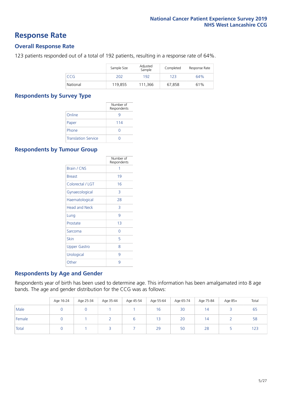### **Response Rate**

#### **Overall Response Rate**

123 patients responded out of a total of 192 patients, resulting in a response rate of 64%.

|          | Sample Size | Adjusted<br>Sample | Completed | Response Rate |
|----------|-------------|--------------------|-----------|---------------|
| CCG      | 202         | 192                | 123       | 64%           |
| National | 119,855     | 111.366            | 67,858    | 61%           |

#### **Respondents by Survey Type**

|                            | Number of<br>Respondents |
|----------------------------|--------------------------|
| Online                     |                          |
| Paper                      | 114                      |
| Phone                      | O                        |
| <b>Translation Service</b> |                          |

#### **Respondents by Tumour Group**

|                      | Number of<br>Respondents |
|----------------------|--------------------------|
| <b>Brain / CNS</b>   | 1                        |
| <b>Breast</b>        | 19                       |
| Colorectal / LGT     | 16                       |
| Gynaecological       | 3                        |
| Haematological       | 28                       |
| <b>Head and Neck</b> | 3                        |
| Lung                 | 9                        |
| Prostate             | 13                       |
| Sarcoma              | Ω                        |
| Skin                 | 5                        |
| <b>Upper Gastro</b>  | 8                        |
| Urological           | 9                        |
| Other                | 9                        |

#### **Respondents by Age and Gender**

Respondents year of birth has been used to determine age. This information has been amalgamated into 8 age bands. The age and gender distribution for the CCG was as follows:

|        | Age 16-24 | Age 25-34 | Age 35-44 | Age 45-54 | Age 55-64 | Age 65-74 | Age 75-84 | Age 85+ | Total |
|--------|-----------|-----------|-----------|-----------|-----------|-----------|-----------|---------|-------|
| Male   |           |           |           |           | 16        | 30        | 14        |         | 65    |
| Female |           |           |           |           | 13        | 20        | 14        |         | 58    |
| Total  |           |           |           |           | 29        | 50        | 28        |         | 123   |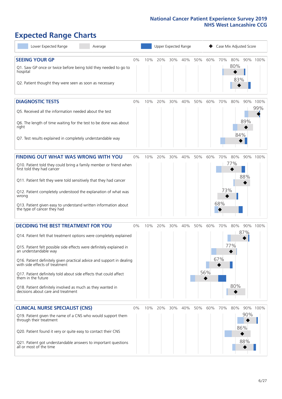# **Expected Range Charts**

| Lower Expected Range<br>Average                                                                                                                                                                                                                                                                                                                                                                                                                                                                                             |    |     | Upper Expected Range |     |         |     | Case Mix Adjusted Score       |                   |                   |                   |             |  |
|-----------------------------------------------------------------------------------------------------------------------------------------------------------------------------------------------------------------------------------------------------------------------------------------------------------------------------------------------------------------------------------------------------------------------------------------------------------------------------------------------------------------------------|----|-----|----------------------|-----|---------|-----|-------------------------------|-------------------|-------------------|-------------------|-------------|--|
| <b>SEEING YOUR GP</b><br>Q1. Saw GP once or twice before being told they needed to go to<br>hospital<br>Q2. Patient thought they were seen as soon as necessary                                                                                                                                                                                                                                                                                                                                                             | 0% | 10% | 20%                  |     | 30% 40% | 50% | 60%                           | 70%               | 80%<br>80%<br>83% |                   | 90% 100%    |  |
| <b>DIAGNOSTIC TESTS</b><br>Q5. Received all the information needed about the test<br>Q6. The length of time waiting for the test to be done was about<br>right<br>Q7. Test results explained in completely understandable way                                                                                                                                                                                                                                                                                               | 0% | 10% | 20%                  | 30% | 40%     | 50% | 60%                           | 70%               | 80%<br>84%        | 90%<br>89%        | 100%<br>99% |  |
| <b>FINDING OUT WHAT WAS WRONG WITH YOU</b><br>Q10. Patient told they could bring a family member or friend when<br>first told they had cancer<br>Q11. Patient felt they were told sensitively that they had cancer<br>Q12. Patient completely understood the explanation of what was<br>wrong<br>Q13. Patient given easy to understand written information about<br>the type of cancer they had                                                                                                                             | 0% | 10% | 20%                  | 30% | 40%     | 50% | 60%                           | 70%<br>73%<br>68% | 80%<br>77%        | 88%               | 90% 100%    |  |
| <b>DECIDING THE BEST TREATMENT FOR YOU</b><br>Q14. Patient felt that treatment options were completely explained<br>Q15. Patient felt possible side effects were definitely explained in<br>an understandable way<br>Q16. Patient definitely given practical advice and support in dealing<br>with side effects of treatment<br>Q17. Patient definitely told about side effects that could affect<br>them in the future<br>Q18. Patient definitely involved as much as they wanted in<br>decisions about care and treatment | 0% | 10% | 20%                  | 30% | 40%     | 50% | 60%<br>56%<br>$\blacklozenge$ | 70%<br>67%        | 80%<br>77%<br>80% | 90%<br>87%        | 100%        |  |
| <b>CLINICAL NURSE SPECIALIST (CNS)</b><br>Q19. Patient given the name of a CNS who would support them<br>through their treatment<br>Q20. Patient found it very or quite easy to contact their CNS<br>Q21. Patient got understandable answers to important questions<br>all or most of the time                                                                                                                                                                                                                              | 0% | 10% | 20%                  | 30% | 40%     | 50% | 60%                           | 70%               | 80%               | 90%<br>86%<br>88% | 90% 100%    |  |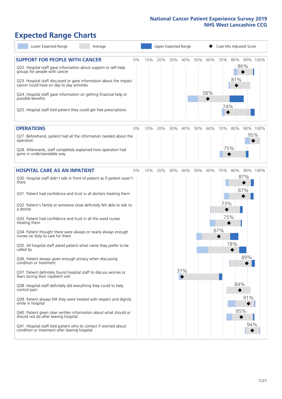# **Expected Range Charts**

| Lower Expected Range<br>Average                                                                                                                                                                                                                                                                                                                                                                                                                                                                                                                                                                                                                                                                                                                                                                                                                                                                         |    |     |     | Upper Expected Range |     |     |            |                   | Case Mix Adjusted Score  |            |          |
|---------------------------------------------------------------------------------------------------------------------------------------------------------------------------------------------------------------------------------------------------------------------------------------------------------------------------------------------------------------------------------------------------------------------------------------------------------------------------------------------------------------------------------------------------------------------------------------------------------------------------------------------------------------------------------------------------------------------------------------------------------------------------------------------------------------------------------------------------------------------------------------------------------|----|-----|-----|----------------------|-----|-----|------------|-------------------|--------------------------|------------|----------|
| <b>SUPPORT FOR PEOPLE WITH CANCER</b><br>Q22. Hospital staff gave information about support or self-help<br>groups for people with cancer<br>Q23. Hospital staff discussed or gave information about the impact<br>cancer could have on day to day activities<br>Q24. Hospital staff gave information on getting financial help or<br>possible benefits<br>Q25. Hospital staff told patient they could get free prescriptions                                                                                                                                                                                                                                                                                                                                                                                                                                                                           | 0% | 10% | 20% | 30%                  | 40% | 50% | 60%<br>58% | 70%<br>74%        | 80%<br>86%<br>81%        |            | 90% 100% |
| <b>OPERATIONS</b>                                                                                                                                                                                                                                                                                                                                                                                                                                                                                                                                                                                                                                                                                                                                                                                                                                                                                       | 0% | 10% | 20% | 30%                  | 40% | 50% | 60%        | 70%               | 80%                      |            | 90% 100% |
| Q27. Beforehand, patient had all the information needed about the<br>operation<br>Q28. Afterwards, staff completely explained how operation had<br>gone in understandable way                                                                                                                                                                                                                                                                                                                                                                                                                                                                                                                                                                                                                                                                                                                           |    |     |     |                      |     |     |            | 75%               |                          | 95%        |          |
| <b>HOSPITAL CARE AS AN INPATIENT</b>                                                                                                                                                                                                                                                                                                                                                                                                                                                                                                                                                                                                                                                                                                                                                                                                                                                                    | 0% | 10% | 20% | 30%                  | 40% | 50% | 60%        | 70%               | 80%                      |            | 90% 100% |
| Q30. Hospital staff didn't talk in front of patient as if patient wasn't<br>there<br>Q31. Patient had confidence and trust in all doctors treating them<br>Q32. Patient's family or someone close definitely felt able to talk to<br>a doctor<br>Q33. Patient had confidence and trust in all the ward nurses<br>treating them<br>Q34. Patient thought there were always or nearly always enough<br>nurses on duty to care for them<br>Q35. All hospital staff asked patient what name they prefer to be<br>called by<br>Q36. Patient always given enough privacy when discussing<br>condition or treatment<br>Q37. Patient definitely found hospital staff to discuss worries or<br>fears during their inpatient visit<br>Q38. Hospital staff definitely did everything they could to help<br>control pain<br>Q39. Patient always felt they were treated with respect and dignity<br>while in hospital |    |     |     |                      | 37% |     |            | 73%<br>75%<br>67% | 87%<br>87%<br>78%<br>84% | 89%<br>91% |          |
| Q40. Patient given clear written information about what should or<br>should not do after leaving hospital<br>Q41. Hospital staff told patient who to contact if worried about<br>condition or treatment after leaving hospital                                                                                                                                                                                                                                                                                                                                                                                                                                                                                                                                                                                                                                                                          |    |     |     |                      |     |     |            |                   | 85%                      | 94%        |          |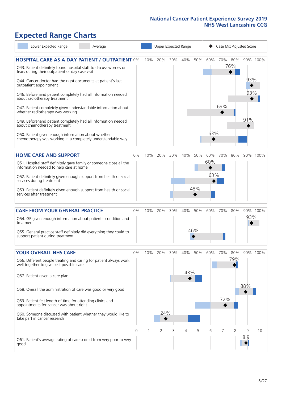# **Expected Range Charts**

| Lower Expected Range                                                                                                                                                                                                                                                                           | Average |       |     | Upper Expected Range |     |     |     | Case Mix Adjusted Score |     |            |            |          |  |
|------------------------------------------------------------------------------------------------------------------------------------------------------------------------------------------------------------------------------------------------------------------------------------------------|---------|-------|-----|----------------------|-----|-----|-----|-------------------------|-----|------------|------------|----------|--|
| <b>HOSPITAL CARE AS A DAY PATIENT / OUTPATIENT 0%</b><br>Q43. Patient definitely found hospital staff to discuss worries or<br>fears during their outpatient or day case visit<br>Q44. Cancer doctor had the right documents at patient's last                                                 |         |       | 10% | 20%                  | 30% | 40% | 50% | 60%                     | 70% | 80%<br>76% | 93%        | 90% 100% |  |
| outpatient appointment<br>Q46. Beforehand patient completely had all information needed<br>about radiotherapy treatment<br>Q47. Patient completely given understandable information about<br>whether radiotherapy was working<br>Q49. Beforehand patient completely had all information needed |         |       |     |                      |     |     |     |                         | 69% |            | 93%<br>91% |          |  |
| about chemotherapy treatment<br>Q50. Patient given enough information about whether<br>chemotherapy was working in a completely understandable way                                                                                                                                             |         |       |     |                      |     |     |     | 63%                     |     |            |            |          |  |
| <b>HOME CARE AND SUPPORT</b><br>Q51. Hospital staff definitely gave family or someone close all the                                                                                                                                                                                            |         | 0%    | 10% | 20%                  | 30% | 40% | 50% | 60%<br>60%              | 70% | 80%        |            | 90% 100% |  |
| information needed to help care at home<br>Q52. Patient definitely given enough support from health or social<br>services during treatment                                                                                                                                                     |         |       |     |                      |     |     |     | 63%                     |     |            |            |          |  |
| Q53. Patient definitely given enough support from health or social<br>services after treatment                                                                                                                                                                                                 |         |       |     |                      |     |     | 48% |                         |     |            |            |          |  |
| <b>CARE FROM YOUR GENERAL PRACTICE</b>                                                                                                                                                                                                                                                         |         | 0%    |     | 10% 20%              | 30% | 40% | 50% | 60%                     | 70% | 80%        |            | 90% 100% |  |
| Q54. GP given enough information about patient's condition and<br>treatment                                                                                                                                                                                                                    |         |       |     |                      |     |     |     |                         |     |            | 93%        |          |  |
| Q55. General practice staff definitely did everything they could to<br>support patient during treatment                                                                                                                                                                                        |         |       |     |                      |     |     | 46% |                         |     |            |            |          |  |
| <b>YOUR OVERALL NHS CARE</b>                                                                                                                                                                                                                                                                   |         | $0\%$ | 10% | 20%                  | 30% | 40% | 50% | 60%                     | 70% | 80%        |            | 90% 100% |  |
| Q56. Different people treating and caring for patient always work<br>well together to give best possible care<br>Q57. Patient given a care plan                                                                                                                                                |         |       |     |                      |     | 43% |     |                         |     | 79%        |            |          |  |
| Q58. Overall the administration of care was good or very good                                                                                                                                                                                                                                  |         |       |     |                      |     |     |     |                         |     |            | 88%        |          |  |
| Q59. Patient felt length of time for attending clinics and<br>appointments for cancer was about right                                                                                                                                                                                          |         |       |     |                      |     |     |     |                         | 72% |            |            |          |  |
| Q60. Someone discussed with patient whether they would like to<br>take part in cancer research                                                                                                                                                                                                 |         |       |     | 24%                  |     |     |     |                         |     |            |            |          |  |
|                                                                                                                                                                                                                                                                                                |         | 0     |     | 2                    | 3   | 4   | 5   | 6                       |     | 8          | 9          | 10       |  |
| Q61. Patient's average rating of care scored from very poor to very<br>good                                                                                                                                                                                                                    |         |       |     |                      |     |     |     |                         |     |            | 8.9        |          |  |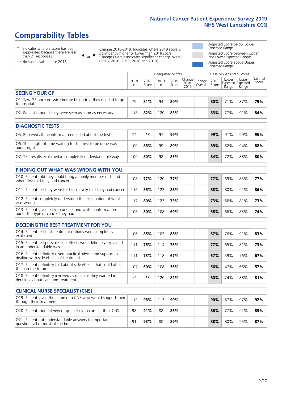# **Comparability Tables**

\* Indicates where a score has been suppressed because there are less than 21 responses.

\*\* No score available for 2018.

 $\triangle$  or  $\nabla$ 

Change 2018-2019: Indicates where 2019 score is significantly higher or lower than 2018 score Change Overall: Indicates significant change overall (2015, 2016, 2017, 2018 and 2019).

Adjusted Score below Lower Expected Range Adjusted Score between Upper and Lower Expected Ranges Adjusted Score above Upper Expected Range

|                                                                             |           |               | Unadjusted Scores |               |                                                  |         |               | Case Mix Adjusted Scores                   |                |                   |
|-----------------------------------------------------------------------------|-----------|---------------|-------------------|---------------|--------------------------------------------------|---------|---------------|--------------------------------------------|----------------|-------------------|
|                                                                             | 2018<br>n | 2018<br>Score | 2019<br>n         | 2019<br>Score | $ \overline{Change} $ Change<br>$2018 -$<br>2019 | Overall | 2019<br>Score | Lower<br><b>Expected Expected</b><br>Range | Upper<br>Range | National<br>Score |
| <b>SEEING YOUR GP</b>                                                       |           |               |                   |               |                                                  |         |               |                                            |                |                   |
| Q1. Saw GP once or twice before being told they needed to go<br>to hospital | 79        | 81%           | 94                | 80%           |                                                  |         | 80%           | 71%                                        | 87%            | 79%               |
| Q2. Patient thought they were seen as soon as necessary                     | 118       | 82%           | 120               | 83%           |                                                  |         | 83%           | 77%                                        | 91%            | 84%               |
| <b>DIAGNOSTIC TESTS</b>                                                     |           |               |                   |               |                                                  |         |               |                                            |                |                   |
| Q5. Received all the information needed about the test                      | $***$     | $* *$         | 97                | 99%           |                                                  |         | 99%           | 91%                                        | 99%            | 95%               |

| Q6. The length of time waiting for the test to be done was<br>about right | 100 | 86% | 99 | 89% |  | 89% | 82% | 94% | 88% |
|---------------------------------------------------------------------------|-----|-----|----|-----|--|-----|-----|-----|-----|
| Q7. Test results explained in completely understandable way               | 100 | 80% | 98 | 85% |  | 84% | 72% | 88% | 80% |

| <b>FINDING OUT WHAT WAS WRONG WITH YOU</b>                                                      |     |     |     |     |  |            |     |     |     |
|-------------------------------------------------------------------------------------------------|-----|-----|-----|-----|--|------------|-----|-----|-----|
| Q10. Patient told they could bring a family member or friend<br>when first told they had cancer | 108 | 77% | 120 | 77% |  | <b>77%</b> | 69% | 85% | 77% |
| Q11. Patient felt they were told sensitively that they had cancer                               | 116 | 85% | 122 | 88% |  | 88%        | 80% | 92% | 86% |
| Q12. Patient completely understood the explanation of what<br>was wrong                         |     | 80% | 123 | 73% |  | 73%        | 66% | 81% | 73% |
| Q13. Patient given easy to understand written information<br>about the type of cancer they had  | 106 | 80% | 108 | 69% |  | 68%        | 66% | 83% | 74% |

| <b>DECIDING THE BEST TREATMENT FOR YOU</b>                                                              |      |     |     |     |            |     |     |     |
|---------------------------------------------------------------------------------------------------------|------|-----|-----|-----|------------|-----|-----|-----|
| Q14. Patient felt that treatment options were completely<br>explained                                   | 106  | 85% | 105 | 88% | 87%        | 76% | 91% | 83% |
| Q15. Patient felt possible side effects were definitely explained<br>in an understandable way           | 111  | 75% | 114 | 76% | <b>77%</b> | 65% | 81% | 73% |
| Q16. Patient definitely given practical advice and support in<br>dealing with side effects of treatment | 111  | 73% | 118 | 67% | 67%        | 59% | 76% | 67% |
| Q17. Patient definitely told about side effects that could affect<br>them in the future                 | 107  | 60% | 108 | 56% | 56%        | 47% | 66% | 57% |
| Q18. Patient definitely involved as much as they wanted in<br>decisions about care and treatment        | $**$ | **  | 120 | 81% | 80%        | 74% | 88% | 81% |

| <b>CLINICAL NURSE SPECIALIST (CNS)</b>                                                    |     |     |     |     |     |                 |     |     |
|-------------------------------------------------------------------------------------------|-----|-----|-----|-----|-----|-----------------|-----|-----|
| Q19. Patient given the name of a CNS who would support them<br>through their treatment    | 112 | 96% | 113 | 90% | 90% | 87%             | 97% | 92% |
| Q20. Patient found it very or quite easy to contact their CNS                             | 98  | 91% | 88  | 86% | 86% | 77 <sub>%</sub> | 92% | 85% |
| Q21. Patient got understandable answers to important<br>questions all or most of the time | ٩í  | 93% | RΩ  | 89% | 88% | 80%             | 95% | 87% |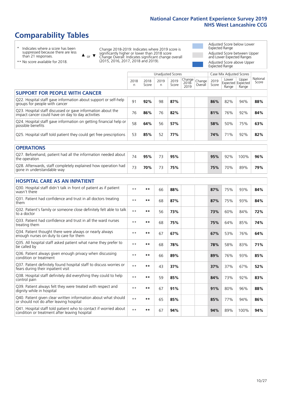# **Comparability Tables**

\* Indicates where a score has been suppressed because there are less than 21 responses.

\*\* No score available for 2018.

 $\triangle$  or  $\nabla$ 

Change 2018-2019: Indicates where 2019 score is significantly higher or lower than 2018 score Change Overall: Indicates significant change overall (2015, 2016, 2017, 2018 and 2019).

Adjusted Score below Lower Expected Range Adjusted Score between Upper and Lower Expected Ranges Adjusted Score above Upper Expected Range

|                                                                                                                   |              |               |            | Unadjusted Scores |                         |                   |               | Case Mix Adjusted Scores |                                     |                   |
|-------------------------------------------------------------------------------------------------------------------|--------------|---------------|------------|-------------------|-------------------------|-------------------|---------------|--------------------------|-------------------------------------|-------------------|
|                                                                                                                   | 2018<br>n    | 2018<br>Score | 2019<br>n. | 2019<br>Score     | Change<br>2018-<br>2019 | Change<br>Overall | 2019<br>Score | Lower<br>Range           | Upper<br>Expected Expected<br>Range | National<br>Score |
| <b>SUPPORT FOR PEOPLE WITH CANCER</b>                                                                             |              |               |            |                   |                         |                   |               |                          |                                     |                   |
| Q22. Hospital staff gave information about support or self-help<br>groups for people with cancer                  | 91           | 92%           | 98         | 87%               |                         |                   | 86%           | 82%                      | 94%                                 | 88%               |
| Q23. Hospital staff discussed or gave information about the<br>impact cancer could have on day to day activities  | 76           | 86%           | 76         | 82%               |                         |                   | 81%           | 76%                      | 92%                                 | 84%               |
| Q24. Hospital staff gave information on getting financial help or<br>possible benefits                            | 58           | 64%           | 56         | 57%               |                         |                   | 58%           | 50%                      | 75%                                 | 63%               |
| Q25. Hospital staff told patient they could get free prescriptions                                                | 53           | 85%           | 52         | 77%               |                         |                   | 74%           | 71%                      | 92%                                 | 82%               |
| <b>OPERATIONS</b>                                                                                                 |              |               |            |                   |                         |                   |               |                          |                                     |                   |
| Q27. Beforehand, patient had all the information needed about<br>the operation                                    | 74           | 95%           | 73         | 95%               |                         |                   | 95%           | 92%                      | 100%                                | 96%               |
| Q28. Afterwards, staff completely explained how operation had<br>gone in understandable way                       | 73           | 70%           | 73         | 75%               |                         |                   | 75%           | 70%                      | 89%                                 | 79%               |
| <b>HOSPITAL CARE AS AN INPATIENT</b>                                                                              |              |               |            |                   |                         |                   |               |                          |                                     |                   |
| Q30. Hospital staff didn't talk in front of patient as if patient<br>wasn't there                                 | $**$         | **            | 66         | 88%               |                         |                   | 87%           | 75%                      | 93%                                 | 84%               |
| Q31. Patient had confidence and trust in all doctors treating<br>them                                             | $* *$        | **            | 68         | 87%               |                         |                   | 87%           | 75%                      | 93%                                 | 84%               |
| Q32. Patient's family or someone close definitely felt able to talk<br>to a doctor                                | $* *$        | **            | 56         | 73%               |                         |                   | 73%           | 60%                      | 84%                                 | 72%               |
| Q33. Patient had confidence and trust in all the ward nurses<br>treating them                                     | $* *$        | **            | 68         | 75%               |                         |                   | 75%           | 64%                      | 85%                                 | 74%               |
| Q34. Patient thought there were always or nearly always<br>enough nurses on duty to care for them                 | $**$         | **            | 67         | 67%               |                         |                   | 67%           | 53%                      | 76%                                 | 64%               |
| Q35. All hospital staff asked patient what name they prefer to<br>be called by                                    | $**$         | **            | 68         | 78%               |                         |                   | 78%           | 58%                      | 83%                                 | 71%               |
| Q36. Patient always given enough privacy when discussing<br>condition or treatment                                | $\star\star$ | **            | 66         | 89%               |                         |                   | 89%           | 76%                      | 93%                                 | 85%               |
| Q37. Patient definitely found hospital staff to discuss worries or<br>fears during their inpatient visit          | $* *$        | **            | 43         | 37%               |                         |                   | 37%           | 37%                      | 67%                                 | 52%               |
| Q38. Hospital staff definitely did everything they could to help<br>control pain                                  | $* *$        | **            | 59         | 85%               |                         |                   | 84%           | 73%                      | 92%                                 | 83%               |
| Q39. Patient always felt they were treated with respect and<br>dignity while in hospital                          | $***$        | **            | 67         | 91%               |                         |                   | 91%           | 80%                      | 96%                                 | 88%               |
| Q40. Patient given clear written information about what should<br>or should not do after leaving hospital         | $**$         | **            | 65         | 85%               |                         |                   | 85%           | 77%                      | 94%                                 | 86%               |
| Q41. Hospital staff told patient who to contact if worried about<br>condition or treatment after leaving hospital | $**$         | **            | 67         | 94%               |                         |                   | 94%           | 89%                      | 100%                                | 94%               |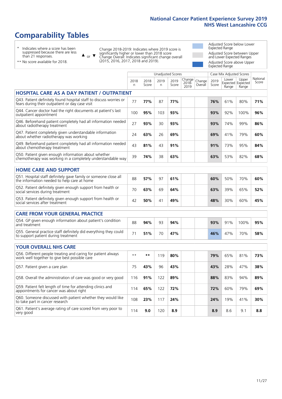108 **23%** 117 **24% 24%** 19% 41% **30%**

# **Comparability Tables**

\* Indicates where a score has been suppressed because there are less than 21 responses.

\*\* No score available for 2018.

or  $\blacktriangledown$  $\blacktriangle$ 

Q60. Someone discussed with patient whether they would like

to take part in cancer research

Change 2018-2019: Indicates where 2019 score is significantly higher or lower than 2018 score Change Overall: Indicates significant change overall (2015, 2016, 2017, 2018 and 2019).

Adjusted Score below Lower Expected Range Adjusted Score between Upper and Lower Expected Ranges Adjusted Score above Upper Expected Range

> National Score

|                                                                                                                       |           |               |            | <b>Unadjusted Scores</b> |                            |                   |               | Case Mix Adjusted Scores |                                     |                  |
|-----------------------------------------------------------------------------------------------------------------------|-----------|---------------|------------|--------------------------|----------------------------|-------------------|---------------|--------------------------|-------------------------------------|------------------|
|                                                                                                                       | 2018<br>n | 2018<br>Score | 2019<br>n. | 2019<br>Score            | Change<br>$2018 -$<br>2019 | Change<br>Overall | 2019<br>Score | Lower<br>Range           | Upper<br>Expected Expected<br>Range | Nationa<br>Score |
| <b>HOSPITAL CARE AS A DAY PATIENT / OUTPATIENT</b>                                                                    |           |               |            |                          |                            |                   |               |                          |                                     |                  |
| Q43. Patient definitely found hospital staff to discuss worries or<br>fears during their outpatient or day case visit | 77        | 77%           | 87         | 77%                      |                            |                   | 76%           | 61%                      | 80%                                 | 71%              |
| Q44. Cancer doctor had the right documents at patient's last<br>outpatient appointment                                | 100       | 95%           | 103        | 93%                      |                            |                   | 93%           | 92%                      | 100%                                | 96%              |
| Q46. Beforehand patient completely had all information needed<br>about radiotherapy treatment                         | 27        | 93%           | 30         | 93%                      |                            |                   | 93%           | 74%                      | 99%                                 | 86%              |
| Q47. Patient completely given understandable information<br>about whether radiotherapy was working                    | 24        | 63%           | 26         | 69%                      |                            |                   | 69%           | 41%                      | 79%                                 | 60%              |
| Q49. Beforehand patient completely had all information needed<br>about chemotherapy treatment                         | 43        | 81%           | 43         | 91%                      |                            |                   | 91%           | 73%                      | 95%                                 | 84%              |
| Q50. Patient given enough information about whether<br>chemotherapy was working in a completely understandable way    | 39        | 74%           | 38         | 63%                      |                            |                   | 63%           | 53%                      | 82%                                 | 68%              |
| <b>HOME CARE AND SUPPORT</b>                                                                                          |           |               |            |                          |                            |                   |               |                          |                                     |                  |
| Q51. Hospital staff definitely gave family or someone close all<br>the information needed to help care at home        | 88        | 57%           | 97         | 61%                      |                            |                   | 60%           | 50%                      | 70%                                 | 60%              |
| Q52. Patient definitely given enough support from health or<br>social services during treatment                       | 70        | 63%           | 69         | 64%                      |                            |                   | 63%           | 39%                      | 65%                                 | 52%              |
| Q53. Patient definitely given enough support from health or<br>social services after treatment                        | 42        | 50%           | 41         | 49%                      |                            |                   | 48%           | 30%                      | 60%                                 | 45%              |
| <b>CARE FROM YOUR GENERAL PRACTICE</b>                                                                                |           |               |            |                          |                            |                   |               |                          |                                     |                  |
| Q54. GP given enough information about patient's condition<br>and treatment                                           | 88        | 94%           | 93         | 94%                      |                            |                   | 93%           | 91%                      | 100%                                | 95%              |
| Q55. General practice staff definitely did everything they could<br>to support patient during treatment               | 71        | 51%           | 70         | 47%                      |                            |                   | 46%           | 47%                      | 70%                                 | 58%              |
| <b>YOUR OVERALL NHS CARE</b>                                                                                          |           |               |            |                          |                            |                   |               |                          |                                     |                  |
| Q56. Different people treating and caring for patient always<br>work well together to give best possible care         | $* *$     | **            | 119        | 80%                      |                            |                   | 79%           | 65%                      | 81%                                 | 73%              |
| Q57. Patient given a care plan                                                                                        | 75        | 43%           | 96         | 43%                      |                            |                   | 43%           | 28%                      | 47%                                 | 38%              |
| Q58. Overall the administration of care was good or very good                                                         | 116       | 91%           | 122        | 89%                      |                            |                   | 88%           | 83%                      | 94%                                 | 89%              |
| Q59. Patient felt length of time for attending clinics and<br>appointments for cancer was about right                 | 114       | 65%           | 122        | 72%                      |                            |                   | 72%           | 60%                      | 79%                                 | 69%              |

Q61. Patient's average rating of care scored from very poor to very good <sup>114</sup> **9.0** <sup>120</sup> **8.9 8.9** 8.6 9.1 **8.8**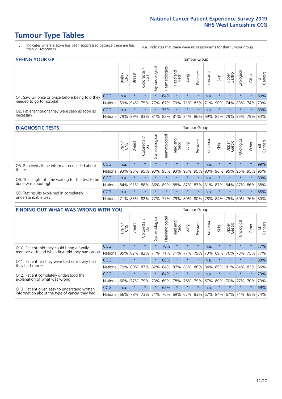# **Tumour Type Tables**

- \* Indicates where a score has been suppressed because there are less than 21 responses.
- n.a. Indicates that there were no respondents for that tumour group.

| <b>SEEING YOUR GP</b>                           |            |       |               |            |                |                |                  |                 | Tumour Group |         |         |                 |                                         |         |                |
|-------------------------------------------------|------------|-------|---------------|------------|----------------|----------------|------------------|-----------------|--------------|---------|---------|-----------------|-----------------------------------------|---------|----------------|
|                                                 |            | Brain | <b>Breast</b> | Colorectal | Gynaecological | Haematological | Head and<br>Neck | Dung            | Prostate     | Sarcoma | Skin    | Upper<br>Gastro | Urological                              | Other   | All<br>Cancers |
| Q1. Saw GP once or twice before being told they | <b>CCG</b> | n.a.  | $\star$       | $\star$    | $\star$        | 64%            | $\star$          | $\star$         | $\star$      | n.a.    | $\star$ | $\star$         | $\star$                                 | $\star$ | 80%            |
| needed to go to hospital                        | National I | 59%   |               | 94% 75%    | 77%            |                |                  | 67% 79% 71% 82% |              |         |         |                 | 71% 90% 74% 83% 74%                     |         | 79%            |
| Q2. Patient thought they were seen as soon as   | <b>CCG</b> | n.a.  | $\star$       | $\star$    | $\star$        | 75%            | $\star$          | $\star$         | $\star$      | n.a.    | $\star$ | $\star$         | $\star$                                 | $\star$ | 83%            |
| necessary                                       | National   | 79%   |               | 89% 83%    |                |                |                  |                 |              |         |         |                 | 81% 82% 81% 84% 86% 69% 85% 79% 85% 79% |         | 84%            |

#### **DIAGNOSTIC TESTS** Tumour Group

|                                                   |                                          | Brain | <b>Breast</b> | Colorectal | त्त<br>Gynaecologic | Haematological | Head and<br>Neck | Lung    | Prostate | Sarcoma | Skin    | Upper<br>Gastro | Urological                                  | Other   | All<br>Cancers |
|---------------------------------------------------|------------------------------------------|-------|---------------|------------|---------------------|----------------|------------------|---------|----------|---------|---------|-----------------|---------------------------------------------|---------|----------------|
| Q5. Received all the information needed about     | <b>CCG</b>                               | n.a.  | $\star$       | $\star$    | $\star$             | $\star$        | $\star$          | $\star$ | $\star$  | n.a.    |         | $\star$         | $\star$                                     | $\star$ | 99%            |
| the test                                          | National                                 | 93%   | 95%           | 95%        | 93%                 | 95%            |                  | 93% 95% | 95%      | 93%     | 96%     | 95%             | 95%                                         | 95%     | 95%            |
| Q6. The length of time waiting for the test to be | <b>CCG</b>                               | n.a.  | $\star$       | $\star$    | $\star$             | $\star$        | $\star$          | $\star$ | $\star$  | n.a.    | $\star$ | $\star$         | $\star$                                     | $\star$ | 89%            |
| done was about right                              | National 84%                             |       | 91%           | 88%        |                     |                |                  |         |          |         |         |                 | 86% 89% 88% 87% 87% 81% 87% 84% 87% 86% 88% |         |                |
| Q7. Test results explained in completely          | <b>CCG</b>                               | n.a.  | $\star$       | $\star$    | $\star$             | $\star$        | $\star$          | $\star$ | $\star$  | n.a.    | $\star$ | $\star$         | $\star$                                     | $\star$ | 85%            |
| understandable way                                | National 71% 83% 82% 77% 77% 79% 80% 80% |       |               |            |                     |                |                  |         |          |         |         |                 | 78% 84% 75% 80% 76% 80%                     |         |                |

| <b>FINDING OUT WHAT WAS WRONG WITH YOU</b>        |            |         |               |                 |                |                |                        |                 | <b>Tumour Group</b> |         |         |                 |           |         |                |
|---------------------------------------------------|------------|---------|---------------|-----------------|----------------|----------------|------------------------|-----------------|---------------------|---------|---------|-----------------|-----------|---------|----------------|
|                                                   |            | Brain   | <b>Breast</b> | ╮<br>Colorectal | Gynaecological | Haematological | ad and<br>Neck<br>Head | Lung            | Prostate            | Sarcoma | Skin    | Upper<br>Gastro | Jrologica | Other   | All<br>Cancers |
| Q10. Patient told they could bring a family       | <b>CCG</b> | $\star$ | $\star$       | $\star$         | $\star$        | 70%            | $\star$                | $\star$         | $\star$             | n.a.    | $\star$ | $\star$         | $\star$   | $\star$ | 77%            |
| member or friend when first told they had cancer  | National   | 85%     | 82%           | 82%             | 71%            | 71%            | 71%                    | 77%             | 79%                 | 73%     | 69%     | 76%             | 73%       | 75%     | 77%            |
| Q11. Patient felt they were told sensitively that | <b>CCG</b> | $\star$ | $\star$       | $\star$         | $\star$        | 89%            | $\star$                | $\star$         | $\star$             | n.a.    | $\star$ | $\star$         | $\star$   | $\star$ | 88%            |
| they had cancer                                   | National   | 79%     | 89%           | 87%             | 82%            | 84%            | 87%                    | 83%             | 86%                 | 84%     | 89%     | 81%             | 84% 83%   |         | 86%            |
| Q12. Patient completely understood the            | CCG        | $\star$ |               | $\star$         | $\star$        | 64%            | $\star$                | $\star$         | $\star$             | n.a.    | $\star$ | $\star$         | $\star$   | $\star$ | 73%            |
| explanation of what was wrong                     | National   | 66%     | 77%           | 79%             | 73%            | 60%            | 78%                    | 76%             | 79%                 | 67%     | 80%     | 70%             | 77%       | 70%     | 73%            |
| Q13. Patient given easy to understand written     | CCG        | n.a.    | $\star$       | $\star$         | $\star$        | 62%            | $\ast$                 | $\star$         | $\star$             | n.a.    | $\star$ | $\star$         | $\star$   | $\ast$  | 69%            |
| information about the type of cancer they had     | National   | 66%     | 78%           | 73%             | 71%            | 76%            |                        | 69%   67%   83% |                     |         | 67% 84% | 67%             | 74%       | 65%     | 74%            |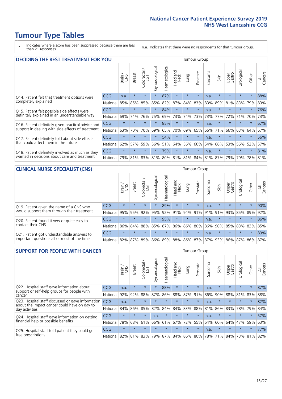# **Tumour Type Tables**

\* Indicates where a score has been suppressed because there are less than 21 responses.

n.a. Indicates that there were no respondents for that tumour group.

| <b>DECIDING THE BEST TREATMENT FOR YOU</b>         |              |         |               |                        |                |                |                         |         | <b>Tumour Group</b> |                      |                                                     |                 |            |         |                |
|----------------------------------------------------|--------------|---------|---------------|------------------------|----------------|----------------|-------------------------|---------|---------------------|----------------------|-----------------------------------------------------|-----------------|------------|---------|----------------|
|                                                    |              | Brain   | <b>Breast</b> | olorectal.<br>LGT<br>Ū | Gynaecological | Haematological | ead and<br>Neck<br>Head | Lung    | Prostate            | arcoma<br>$\sqrt{2}$ | Skin                                                | Upper<br>Gastro | Jrological | Other   | All<br>Cancers |
| Q14. Patient felt that treatment options were      | CCG          | n.a.    | $\star$       | $\star$                | $\star$        | 87%            | $\star$                 | $\star$ | $\star$             | n.a.                 | $\star$                                             | $\star$         | $\star$    | $\star$ | 88%            |
| completely explained                               | National     | 85%     | 85%           | 85%                    | 85%            | 82%            | 87%                     | 84%     | 83%                 | 83%                  | 89%                                                 | 81%             | 83%        | 79%     | 83%            |
| Q15. Patient felt possible side effects were       | CCG          | $\star$ |               |                        |                | 84%            | $\star$                 | $\star$ | $\star$             | n.a.                 | $\star$                                             | $\star$         | $\star$    | $\star$ | 76%            |
| definitely explained in an understandable way      | National     | 69%     | 74%           | 76%                    | 75%            | 69%            | 73%                     | 74%     | 73%                 | 73%                  | 77%                                                 | 72%             | 71%        | 70%     | 73%            |
| Q16. Patient definitely given practical advice and | CCG          | $\star$ | $\star$       |                        | $\star$        | 85%            | $\star$                 | $\star$ | $\star$             | n.a.                 | $\star$                                             | $\star$         |            | $\star$ | 67%            |
| support in dealing with side effects of treatment  | National     | 63%     | 70%           | 70%                    | 69%            | 65%            | 70%                     | 69%     | 65%                 | 66%                  | 71%                                                 | 66%             | 63%        | 64%     | 67%            |
| Q17. Patient definitely told about side effects    | CCG          | $\star$ | $\star$       |                        | $\star$        | 54%            | $\star$                 | $\star$ | $\star$             | n.a.                 | $\star$                                             | $\star$         | $\star$    | $\star$ | 56%            |
| that could affect them in the future               | National     | 62%     | 57%           | 59%                    | 56%            | 51%            | 64%                     | 56%     | 66%                 | 54%                  | 66%                                                 | 53%             | 56%        | 52%     | 57%            |
| Q18. Patient definitely involved as much as they   | CCG          | $\star$ | $\star$       | $\star$                | $\star$        | 79%            | $\star$                 | $\star$ | $\star$             | n.a.                 | $\star$                                             | $\star$         | $\star$    | $\star$ | 81%            |
| wanted in decisions about care and treatment       | National 79% |         | 81%           |                        |                |                |                         |         |                     |                      | 83%   81%   80%   81%   81%   84%   81%   87%   79% |                 | 79%        | 78% 81% |                |

#### **CLINICAL NURSE SPECIALIST (CNS)** Tumour Group

|                                                            |                                                                  | Brain   | <b>Breast</b> | Colorectal<br>LGT           | $\overline{\sigma}$<br>aecologic<br>Š | Haematological | Head and<br>Neck | <b>Dun</b> | Prostate | Sarcoma | Skin    | Upper<br>Gastro | rological | Other    | All<br>Cancers |
|------------------------------------------------------------|------------------------------------------------------------------|---------|---------------|-----------------------------|---------------------------------------|----------------|------------------|------------|----------|---------|---------|-----------------|-----------|----------|----------------|
| Q19. Patient given the name of a CNS who                   | <b>CCG</b>                                                       | $\star$ | $\star$       | $\star$                     | $\star$                               | 89%            | $\star$          | $\star$    | $\star$  | n.a.    | $\star$ | $\star$         | $\star$   | $^\star$ | 90%            |
| would support them through their treatment                 | National                                                         | 95%     | 95%           | 92%                         | 95%                                   |                | 92% 91%          | 94% 91%    |          |         | 91% 91% | 93%             | 85% 89%   |          | 92%            |
| Q20. Patient found it very or quite easy to                | CCG                                                              | $\star$ | $\star$       | $\star$                     |                                       | 95%            | $\star$          | $\star$    | $\star$  | n.a.    | $\star$ | $\star$         | $\star$   | $\star$  | 86%            |
| contact their CNS                                          | National                                                         | 86%     |               | 84% 88% 85% 87% 86% 86% 80% |                                       |                |                  |            |          |         | 86% 90% | 85%             | 83% 83%   |          | 85%            |
| . Patient got understandable answers to<br>O <sub>21</sub> | <b>CCG</b>                                                       | $\star$ | $\star$       | $\star$                     | $\star$                               | $\star$        | $\star$          | $\star$    | $\star$  | n.a.    | $\star$ | $\star$         | $\star$   | $\star$  | 89%            |
| important questions all or most of the time                | National 82% 87% 89% 86% 89% 88% 86% 87% 87% 93% 86% 87% 86% 87% |         |               |                             |                                       |                |                  |            |          |         |         |                 |           |          |                |

| <b>SUPPORT FOR PEOPLE WITH CANCER</b>                                                             |            |         |               |                       |                |                |                        |         | Tumour Group |              |         |                 |            |         |                |
|---------------------------------------------------------------------------------------------------|------------|---------|---------------|-----------------------|----------------|----------------|------------------------|---------|--------------|--------------|---------|-----------------|------------|---------|----------------|
|                                                                                                   |            | Brain   | <b>Breast</b> | olorectal<br>LGT<br>Ũ | Gynaecological | Haematological | ad and<br>Neck<br>Head | Lung    | Prostate     | arcoma<br>ιñ | Skin    | Upper<br>Gastro | Urological | Other   | All<br>Cancers |
| Q22. Hospital staff gave information about<br>support or self-help groups for people with         | <b>CCG</b> | n.a.    | $\star$       | $\star$               | $\star$        | 88%            | $\star$                | $\star$ | $\star$      | n.a.         | $\star$ | $\star$         | $\star$    | $\star$ | 87%            |
| cancer                                                                                            | National   | 92%     | 92%           | 88%                   | 87%            | 86%            | 88%                    | 87%     | 91%          | 86%          | 90%     | 88%             | 81%        | 83%     | 88%            |
| Q23. Hospital staff discussed or gave information<br>about the impact cancer could have on day to | CCG        | n.a.    | $\star$       |                       | $\star$        | $\star$        | $\star$                | $\star$ | $\star$      | n.a.         | $\star$ | $\star$         | $\star$    | $\star$ | 82%            |
| day activities                                                                                    | National   | 84%     | 86%           | 85%                   | 82%            | 84%            | 84%                    | 83%     | 88%          | 81%          | 86%     | 83%             | 78%        | 79%     | 84%            |
| Q24. Hospital staff gave information on getting                                                   | <b>CCG</b> | $\star$ | $\star$       | $\star$               | n.a.           | $\star$        | $\star$                | $\star$ | $\star$      | n.a.         | $\star$ | $\star$         | $\star$    | $\star$ | 57%            |
| financial help or possible benefits                                                               | National   | 78%     | 68%           | 61%                   | 66%            | 61%            | 67%                    | 72%     | 55%          | 64%          | 60%     | 64%             | 47%        | 59%     | 63%            |
| Q25. Hospital staff told patient they could get                                                   | <b>CCG</b> | $\star$ | $\star$       | $\star$               | $\star$        | $\star$        | $\star$                | $\star$ | $\star$      | n.a.         | $\star$ | $\star$         | $\star$    | $\star$ | 77%            |
| free prescriptions                                                                                | National   | 82%     |               | 81% 83%               | 79%            | 87%            |                        |         | 84% 86% 80%  | 78%          | 71%     | 84%             |            | 73% 81% | 82%            |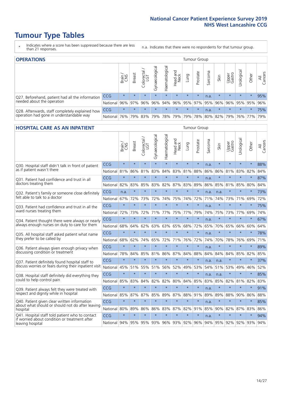# **Tumour Type Tables**

- \* Indicates where a score has been suppressed because there are less than 21 responses.
- n.a. Indicates that there were no respondents for that tumour group.

| <b>OPERATIONS</b>                                |            |              |               |            |                |                |                  |         | Tumour Group    |         |         |                 |                                             |         |                |
|--------------------------------------------------|------------|--------------|---------------|------------|----------------|----------------|------------------|---------|-----------------|---------|---------|-----------------|---------------------------------------------|---------|----------------|
|                                                  |            | Brain<br>CNS | <b>Breast</b> | Colorectal | Gynaecological | Haematological | Head and<br>Neck | Lung    | Prostate        | Sarcoma | Skin    | Upper<br>Gastro | Urological                                  | Other   | All<br>Cancers |
| Q27. Beforehand, patient had all the information | <b>CCG</b> | $\star$      | $\star$       | $\star$    | $\star$        | $\star$        | $\star$          | $\star$ | $\star$         | n.a.    | $\star$ | $\star$         | $\star$                                     | $\star$ | 95%            |
| needed about the operation                       | National   | 96%          |               | 97% 96%    | 96%            |                |                  |         | 94% 96% 95% 97% |         | 95% 96% | 96%             | 95% 95%                                     |         | 96%            |
| Q28. Afterwards, staff completely explained how  | <b>CCG</b> | $\star$      | $\star$       | $\star$    | $\star$        | $\star$        | $\star$          | $\star$ | $\star$         | n.a.    | $\star$ | $\star$         | $\star$                                     | $\star$ | 75%            |
| operation had gone in understandable way         | National   | 76%          |               | 79% 83%    |                |                |                  |         |                 |         |         |                 | 79% 78% 79% 79% 78% 80% 82% 79% 76% 77% 79% |         |                |

#### **HOSPITAL CARE AS AN INPATIENT** Tumour Group

|                                                                                                  |            | Brain   | Breast  | $\frac{\text{Colored}}{\text{LGT}}$ | Gynaecological | Haematological | Head and<br><b>Neck</b> | Lung    | Prostate | Sarcoma | Skin    | Upper<br>Gastro | Urological | Other   | Cancers<br>$\overline{\overline{z}}$ |
|--------------------------------------------------------------------------------------------------|------------|---------|---------|-------------------------------------|----------------|----------------|-------------------------|---------|----------|---------|---------|-----------------|------------|---------|--------------------------------------|
| Q30. Hospital staff didn't talk in front of patient                                              | CCG        | $\star$ | $\star$ | $\star$                             | $\star$        | $\star$        | $\star$                 | $\star$ | $\star$  | n.a.    | $\star$ | $\star$         | $\star$    | $\star$ | 88%                                  |
| as if patient wasn't there                                                                       | National   | 81%     | 86%     | 81%                                 | 83%            | 84%            | 83%                     | 81%     | 88%      | 86%     | 86%     | 81%             | 83%        | 82%     | 84%                                  |
| 031. Patient had confidence and trust in all                                                     | CCG        | $\star$ | $\star$ | $\star$                             | $\star$        | $\star$        | $\star$                 | $\star$ | $\star$  | n.a.    | $\star$ | $\star$         | $\star$    | $\star$ | 87%                                  |
| doctors treating them                                                                            | National   | 82%     | 83%     | 85%                                 | 83%            | 82%            | 87%                     | 83%     | 89%      | 86%     | 85%     | 81%             | 85%        | 80%     | 84%                                  |
| Q32. Patient's family or someone close definitely                                                | CCG        | n.a.    | $\star$ | $\star$                             | $\star$        | $\star$        | $\star$                 | $\star$ | $\star$  | n.a.    | n.a.    |                 | $\star$    | $\star$ | 73%                                  |
| felt able to talk to a doctor                                                                    | National   | 67%     | 72%     | 73%                                 | 72%            | 74%            | 75%                     | 74%     | 72%      | 71%     | 74%     | 73%             | 71%        | 69%     | 72%                                  |
| Q33. Patient had confidence and trust in all the                                                 | CCG        | $\star$ | $\star$ | $\star$                             | $\star$        | $\star$        | $\star$                 | $\star$ | $\star$  | n.a.    | $\star$ | $\star$         | $\star$    | $\star$ | 75%                                  |
| ward nurses treating them                                                                        | National   | 72%     | 73%     | 72%                                 | 71%            | 77%            |                         | 75% 77% | 79%      | 74%     | 75%     | 73%             | 77%        | 69%     | 74%                                  |
| Q34. Patient thought there were always or nearly                                                 | CCG        | $\star$ | $\star$ | $\star$                             | $\star$        | $\star$        | $\star$                 | $\star$ | $\star$  | n.a.    | $\star$ | $\star$         | $\star$    | $\star$ | 67%                                  |
| always enough nurses on duty to care for them                                                    | National   | 68%     | 64%     | 62%                                 | 63%            | 63%            | 65%                     | 68%     | 72%      | 65%     | 70%     | 65%             | 66%        | 60%     | 64%                                  |
| Q35. All hospital staff asked patient what name                                                  | CCG        | $\star$ | $\star$ | $\star$                             | $\star$        | $\star$        | $\star$                 | $\star$ | $\star$  | n.a.    | $\star$ | $\star$         | $\star$    | $\star$ | 78%                                  |
| they prefer to be called by                                                                      | National   | 68%     | 62%     | 74%                                 | 65%            | 72%            |                         | 71% 76% | 72%      | 74%     | 70%     | 78%             | 76%        | 69%     | 71%                                  |
| Q36. Patient always given enough privacy when                                                    | CCG        | $\star$ | $\star$ | $\star$                             | $\star$        | $\star$        | $\star$                 | $\star$ | $\star$  | n.a.    | $\star$ | $\star$         | $\star$    | $\star$ | 89%                                  |
| discussing condition or treatment                                                                | National   | 78%     | 84%     | 85%                                 | 81%            | 86%            |                         | 87% 84% | 88%      | 84%     | 84%     | 84%             | 85%        | 82%     | 85%                                  |
| Q37. Patient definitely found hospital staff to                                                  | <b>CCG</b> | $\star$ | $\star$ | $\star$                             | $\star$        | $\star$        | $\star$                 | $\star$ | $\star$  | n.a.    | n.a.    | $\star$         | $\star$    | $\star$ | 37%                                  |
| discuss worries or fears during their inpatient visit                                            | National   | 45%     | 51%     | 55%                                 | 51%            | 56%            | 52%                     | 49%     | 53%      | 54%     | 51%     | 53%             | 49%        | 46%     | 52%                                  |
| Q38. Hospital staff definitely did everything they                                               | CCG        | $\star$ | $\star$ | $\star$                             | $\star$        | $\star$        | $\star$                 | $\star$ | $\star$  | n.a.    | n.a.    | $\star$         | $\star$    | $\star$ | 85%                                  |
| could to help control pain                                                                       | National   | 85%     | 83%     | 84%                                 | 82%            | 82%            | 80%                     | 84%     | 85%      | 83%     | 85%     | 82%             | 81%        | 82%     | 83%                                  |
| Q39. Patient always felt they were treated with                                                  | CCG        | $\star$ | $\star$ | $\star$                             | $\star$        | $\star$        | $\star$                 | $\star$ | $\star$  | n.a.    | $\star$ | $\star$         | $\star$    | $\star$ | 91%                                  |
| respect and dignity while in hospital                                                            | National   | 85%     | 87%     | 87%                                 | 85%            | 89%            |                         | 87% 88% | 91%      | 89%     | 89%     | 88%             | 90%        | 86%     | 88%                                  |
| Q40. Patient given clear written information<br>about what should or should not do after leaving | CCG        | $\star$ | $\star$ | $\star$                             | $\star$        | $\star$        | $\star$                 | $\star$ | $\star$  | n.a.    | $\star$ | $\star$         | $\star$    | $\star$ | 85%                                  |
| hospital                                                                                         | National   | 80%     | 89%     | 86%                                 | 86%            | 83%            | 87%                     | 82%     | 91%      | 85%     | 90%     | 82%             | 87%        | 83%     | 86%                                  |
| Q41. Hospital staff told patient who to contact<br>if worried about condition or treatment after | CCG        | $\star$ | $\star$ | $\star$                             | $\star$        | $\star$        | $\star$                 | $\star$ | $\star$  | n.a.    | $\star$ | $\star$         | $\star$    | $\star$ | 94%                                  |
| leaving hospital                                                                                 | National I | 94%     | 95%     | 95% 93%                             |                |                | 96% 93% 92%             |         | 96%      | 94%     |         | 95% 92%         | 92%        | 93%     | 94%                                  |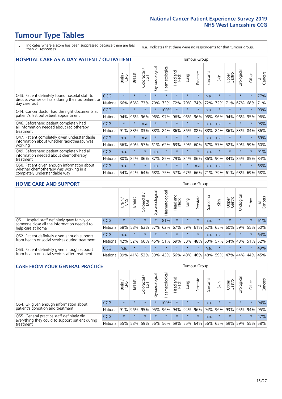# **Tumour Type Tables**

- \* Indicates where a score has been suppressed because there are less than 21 responses.
- n.a. Indicates that there were no respondents for that tumour group.

| <b>HOSPITAL CARE AS A DAY PATIENT / OUTPATIENT</b><br><b>Tumour Group</b>                                                |            |         |               |                         |                |                |                                |         |          |                               |         |                 |            |         |                |
|--------------------------------------------------------------------------------------------------------------------------|------------|---------|---------------|-------------------------|----------------|----------------|--------------------------------|---------|----------|-------------------------------|---------|-----------------|------------|---------|----------------|
|                                                                                                                          |            | Brain   | <b>Breast</b> | olorectal /<br>LGT<br>Ū | Gynaecological | Haematological | <b>Bad and</b><br>Neck<br>Head | Lung    | Prostate | arcoma<br>$\overline{\Omega}$ | Skin    | Upper<br>Gastro | Urological | Other   | All<br>Cancers |
| Q43. Patient definitely found hospital staff to<br>discuss worries or fears during their outpatient or<br>day case visit | <b>CCG</b> | $\star$ | $\star$       | $\star$                 | $\star$        | $\star$        | $\star$                        | $\star$ | $\star$  | n.a.                          | $\star$ | $\star$         | $\star$    | $\star$ | 77%            |
|                                                                                                                          | National   | 66%     | 68%           | 73%                     | 70%            | 73%            | 72%                            | 70%     | 74%      | 72%                           | 72%     | 71%             | 67%        | 68%     | 71%            |
| Q44. Cancer doctor had the right documents at<br>patient's last outpatient appointment                                   | CCG        | $\star$ | $\star$       | $\star$                 |                | 100%           | $\star$                        | $\star$ | $\star$  | n.a.                          |         | $\star$         | $\star$    | $\ast$  | 93%            |
|                                                                                                                          | National   | 94%     | 96%           | 96%                     | 96%            | 97%            | 96%                            | 96%     | 96%      | 96%                           | 96%     | 94%             | 96%        | 95%     | 96%            |
| Q46. Beforehand patient completely had                                                                                   | <b>CCG</b> | $\star$ | $\star$       | n.a.                    | $\star$        |                | $\star$                        | $\star$ | $\star$  | n.a.                          | n.a.    | $\star$         |            | $\star$ | 93%            |
| all information needed about radiotherapy<br>treatment                                                                   | National   | 91%     | 88%           | 83%                     | 88%            | 84%            | 86%                            | 86%     | 88%      | 88%                           | 84%     | 86%             | 83%        | 84%     | 86%            |
| Q47. Patient completely given understandable<br>information about whether radiotherapy was                               | <b>CCG</b> | n.a.    | $\star$       | n.a.                    | $\star$        | $\star$        | $\star$                        | $\star$ | $\star$  | n.a.                          | n.a.    | $\star$         | $\star$    | $\star$ | 69%            |
| working                                                                                                                  | National   | 56%     | 60%           | 57%                     | 61%            | 62%            | 63%                            | 59%     | 60%      | 67%                           | 57%     | 52%             | 59%        | 59%     | 60%            |
| Q49. Beforehand patient completely had all                                                                               | <b>CCG</b> | n.a.    | $\star$       | $\star$                 | n.a.           | $\star$        | $\star$                        | $\star$ | $\star$  | n.a.                          | $\star$ | $\star$         | $\star$    | $\ast$  | 91%            |
| information needed about chemotherapy<br>treatment                                                                       | National   | 80%     | 82%           | 86%                     | 87%            | 85%            | 79%                            | 84%     | 86%      | 86%                           | 90%     | 84%             | 85%        | 85%     | 84%            |
| Q50. Patient given enough information about<br>whether chemotherapy was working in a<br>completely understandable way    | <b>CCG</b> | n.a.    | $\ast$        | $\star$                 | n.a.           | $\star$        | $\star$                        | $\star$ | n.a.     | n.a.                          | n.a.    | $\star$         | $\star$    | $\star$ | 63%            |
|                                                                                                                          | National   | 54%     | 62%           | 64%                     | 68%            | 75%            |                                | 57% 67% | 66%      | 71%                           | 79%     | 61%             | 68%        | 69%     | 68%            |

#### **HOME CARE AND SUPPORT** Tumour Group

|                                                                                                                   |            | Brain   | <b>Breast</b> | Colorectal<br>LGT | ᢛ<br>Gynaecologic | Haematological | ad and<br>Neck<br>Head | <b>Dung</b> | Prostate | Sarcoma | Skin    | Upper<br>Gastro | rological   | Other   | All<br>Cancers |
|-------------------------------------------------------------------------------------------------------------------|------------|---------|---------------|-------------------|-------------------|----------------|------------------------|-------------|----------|---------|---------|-----------------|-------------|---------|----------------|
| Q51. Hospital staff definitely gave family or<br>someone close all the information needed to<br>help care at home | <b>CCG</b> | $\star$ | $\star$       | $\star$           |                   | 81%            | $\star$                | $\star$     | $\star$  | n.a.    | $\star$ | $\star$         | $\star$     | $\star$ | 61%            |
|                                                                                                                   | National   | 58%     | 58%           | 63%               | 57%               |                | 62% 67%                |             | 59% 61%  |         | 62% 65% | 60%             | 59% 55%     |         | 60%            |
| Q52. Patient definitely given enough support<br>from health or social services during treatment                   | <b>CCG</b> | n.a.    | $\star$       | $\star$           | $\star$           | $\star$        | $\star$                | $\star$     | $\star$  | n.a.    | n.a.    | $\star$         | $\star$     | $\star$ | 64%            |
|                                                                                                                   | National   | 42%     | 52%           | 60%               |                   | 45% 51%        | 59%                    | 50%         | 48%      |         | 53% 57% |                 | 54% 48% 51% |         | 52%            |
| Q53. Patient definitely given enough support<br>from health or social services after treatment                    | <b>CCG</b> | n.a.    | $\star$       | $\star$           | $\star$           |                | $\star$                | $\star$     | $\star$  | n.a.    | $\star$ | $\star$         | $\star$     | $\star$ | 49%            |
|                                                                                                                   | National l | 39%     | 41% 53%       |                   | 39%               | $ 43\% $       | 56%                    | 40%         | 46%      | 48%     | 59%     | 47%             | 44%         | 44%     | 45%            |

| <b>CARE FROM YOUR GENERAL PRACTICE</b>                                                                     |            |         |               |                   |                |                  |                  | Tumour Group |                 |         |         |                             |            |             |                |  |
|------------------------------------------------------------------------------------------------------------|------------|---------|---------------|-------------------|----------------|------------------|------------------|--------------|-----------------|---------|---------|-----------------------------|------------|-------------|----------------|--|
|                                                                                                            |            | Brain   | <b>Breast</b> | Colorectal<br>LGT | Gynaecological | ক<br>aematologic | Head and<br>Neck | Lung         | Prostate        | Sarcoma | Skin    | Upper<br>Gastro             | Jrological | Other       | All<br>Cancers |  |
| Q54. GP given enough information about<br>patient's condition and treatment                                | <b>CCG</b> | $\star$ |               | $\star$           |                | 100%             | $\star$          | $\star$      | $\star$         | n.a.    |         | $\star$                     | $\star$    | $\star$     | 94%            |  |
|                                                                                                            | National   | 91%     |               | 96% 95%           | 95%            |                  |                  |              | 96% 94% 94% 96% |         | 94% 96% |                             |            | 93% 95% 94% | 95%            |  |
| Q55. General practice staff definitely did<br>everything they could to support patient during<br>treatment | <b>CCG</b> | $\star$ | $\star$       | $\star$           | $\star$        | $\star$          | $\star$          | $\star$      | $\star$         | n.a.    | $\star$ | $\star$                     | $\star$    | $\star$     | 47%            |  |
|                                                                                                            | National   | 55%     |               | 58% 59%           | 56%            |                  | 56% 59%          |              | 56% 64%         |         |         | 56%   65%   59%   59%   55% |            |             | 58%            |  |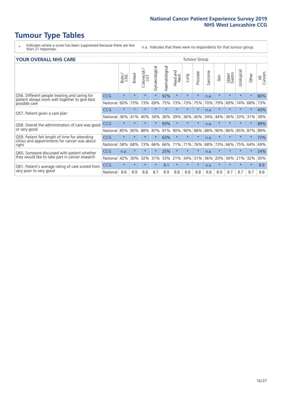# **Tumour Type Tables**

- \* Indicates where a score has been suppressed because there are less than 21 responses.
- n.a. Indicates that there were no respondents for that tumour group.

#### **YOUR OVERALL NHS CARE** THE TWO CONTROLLER THE THE THEORY OF THE THEORY OF THE TUMOUR Group

|            | Brain<br>CNS | <b>Breast</b> | olorectal.<br>LGT<br>Ü | Gynaecological | ematological<br>Ě | <b>Bad and</b><br>Neck<br>Head | Lung    | Prostate | Sarcoma | Skin    | Upper<br>Gastro | Urologica | Other   | All<br>Cancers |
|------------|--------------|---------------|------------------------|----------------|-------------------|--------------------------------|---------|----------|---------|---------|-----------------|-----------|---------|----------------|
| <b>CCG</b> | $\star$      | $\star$       | $\star$                | $\star$        | 92%               | $\star$                        | $\star$ | $\star$  | n.a.    | $\star$ | $\star$         | $\star$   | $\star$ | 80%            |
| National   | 60%          | 73%           | 73%                    | 69%            | 75%               | 73%                            | 73%     | 75%      | 70%     | 79%     | 69%             | 74%       | 68%     | 73%            |
| <b>CCG</b> | $\star$      | $\star$       | $\star$                | $\star$        |                   | $\star$                        | $\star$ | $\star$  | n.a.    | $\star$ | $\star$         | $\star$   | $\ast$  | 43%            |
| National   | 36%          | 41%           | 40%                    | 34%            | 36%               | 39%                            | 36%     | 40%      | 34%     | 44%     | 36%             | 33%       | 31%     | 38%            |
| <b>CCG</b> | $\star$      |               | $\star$                |                | 93%               | $\star$                        | $\star$ | $\star$  | n.a.    | $\star$ |                 |           |         | 89%            |
| National   | 85%          | 90%           | 88%                    | 87%            | 91%               | 90%                            | 90%     | 88%      | 88%     | 90%     | 86%             | 85%       | 87%     | 89%            |
| <b>CCG</b> | $\star$      | $\star$       | $\star$                | $\star$        | 63%               | $\star$                        | $\star$ | $\star$  | n.a.    | $\star$ |                 |           | $\ast$  | 72%            |
| National   | 58%          | 68%           | 73%                    | 66%            | 66%               | 71%                            | 71%     | 76%      | 68%     | 73%     | 66%             | 75%       | 64%     | 69%            |
| <b>CCG</b> | n.a.         | $\star$       | $\star$                |                | 25%               | $\star$                        | $\star$ | $\star$  | n.a.    | $\star$ |                 |           | $\star$ | 24%            |
| National   | 42%          | 30%           | 32%                    | 31%            | 33%               | 21%                            | 34%     | 31%      | 36%     | 20%     | 36%             | 21%       | 32%     | 30%            |
| <b>CCG</b> | $\star$      | $\star$       | $\star$                | $\star$        | 9.1               | $\star$                        | $\star$ | $\star$  | n.a.    | $\star$ | $\star$         | $\star$   | $\ast$  | 8.9            |
| National   | 8.6          | 8.9           | 8.8                    | 8.7            | 8.9               | 8.8                            | 8.8     | 8.8      | 8.8     | 8.9     | 8.7             | 8.7       | 8.7     | 8.8            |
|            |              |               |                        |                |                   |                                |         |          |         |         |                 |           |         |                |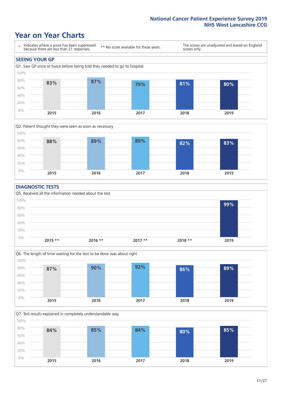### **Year on Year Charts**





#### **DIAGNOSTIC TESTS**





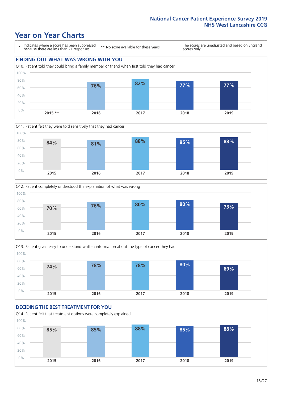### **Year on Year Charts**

\* Indicates where a score has been suppressed because there are less than 21 responses.

\*\* No score available for these years.

The scores are unadjusted and based on England scores only.

#### **FINDING OUT WHAT WAS WRONG WITH YOU**









#### **DECIDING THE BEST TREATMENT FOR YOU**

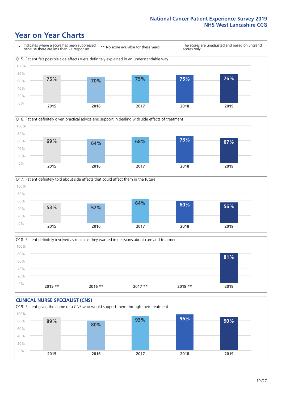### **Year on Year Charts**







Q18. Patient definitely involved as much as they wanted in decisions about care and treatment  $0%$ 20% 40% 60% 80% 100% **2015 \*\* 2016 \*\* 2017 \*\* 2018 \*\* 2019 81%**

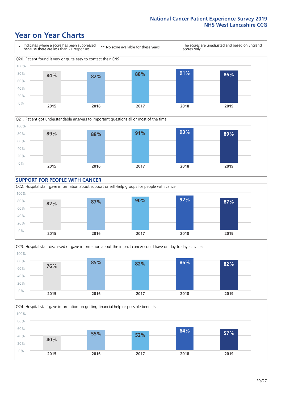### **Year on Year Charts**









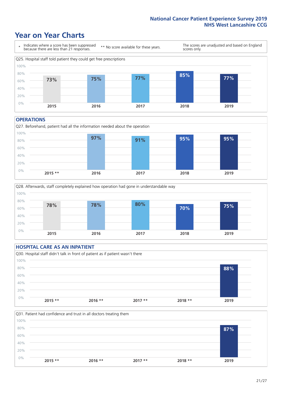### **Year on Year Charts**



#### **OPERATIONS**





#### **HOSPITAL CARE AS AN INPATIENT** Q30. Hospital staff didn't talk in front of patient as if patient wasn't there 0% 20% 40% 60% 80% 100% **2015 \*\* 2016 \*\* 2017 \*\* 2018 \*\* 2019 88%**

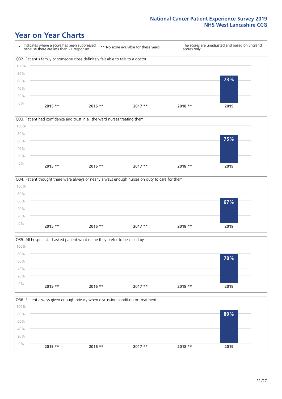### **Year on Year Charts**









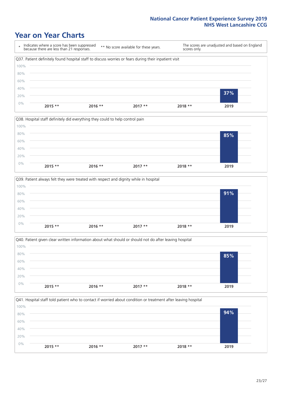### **Year on Year Charts**









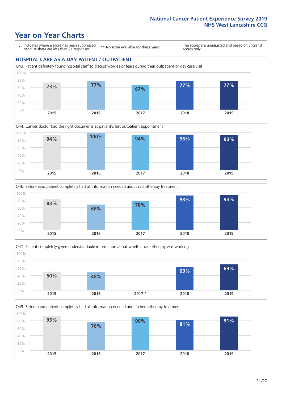### **Year on Year Charts**

\* Indicates where a score has been suppressed because there are less than 21 responses.

\*\* No score available for these years.

The scores are unadjusted and based on England scores only.

#### **HOSPITAL CARE AS A DAY PATIENT / OUTPATIENT**









Q49. Beforehand patient completely had all information needed about chemotherapy treatment

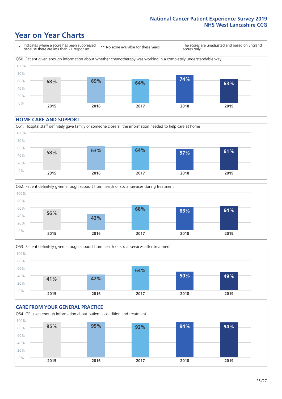### **Year on Year Charts**

\* Indicates where a score has been suppressed because there are less than 21 responses. \*\* No score available for these years. The scores are unadjusted and based on England scores only. Q50. Patient given enough information about whether chemotherapy was working in a completely understandable way 0% 20% 40% 60% 80% 100% **2015 2016 2017 2018 2019 68% 69% 64% 74% 63%**

#### **HOME CARE AND SUPPORT**







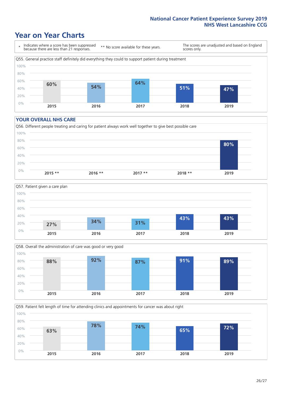### **Year on Year Charts**

\* Indicates where a score has been suppressed because there are less than 21 responses.

\*\* No score available for these years.

The scores are unadjusted and based on England scores only.



#### **YOUR OVERALL NHS CARE**







Q59. Patient felt length of time for attending clinics and appointments for cancer was about right 100%